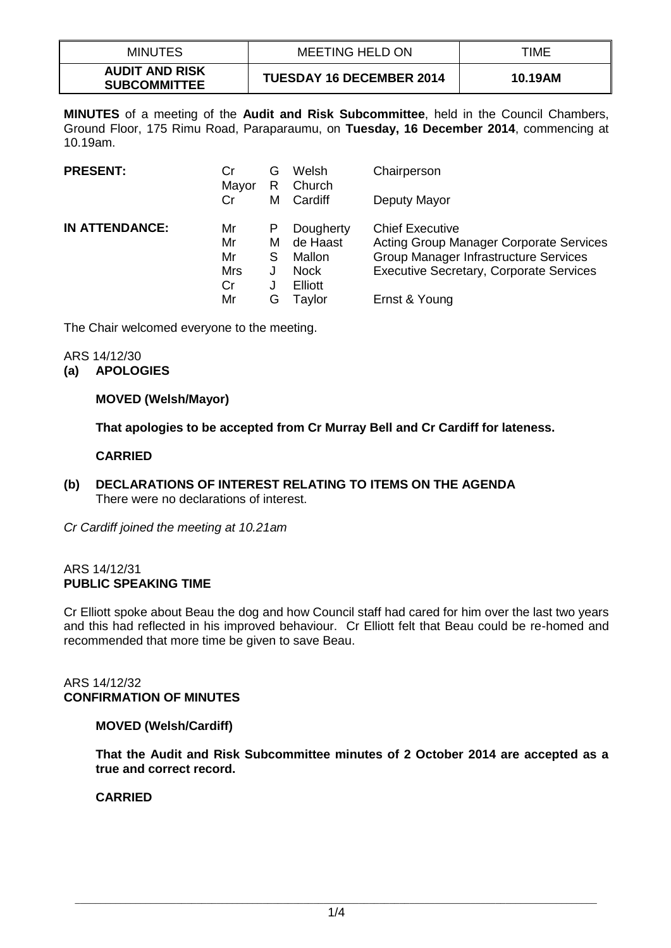| MINUTES                                      | <b>MEETING HELD ON</b>          | TIME    |
|----------------------------------------------|---------------------------------|---------|
| <b>AUDIT AND RISK</b><br><b>SUBCOMMITTEE</b> | <b>TUESDAY 16 DECEMBER 2014</b> | 10.19AM |

**MINUTES** of a meeting of the **Audit and Risk Subcommittee**, held in the Council Chambers, Ground Floor, 175 Rimu Road, Paraparaumu, on **Tuesday, 16 December 2014**, commencing at 10.19am.

| <b>PRESENT:</b>       | Cr<br>Mayor<br>Cr                        | G<br>R<br>М                | Welsh<br>Church<br>Cardiff                                                 | Chairperson<br>Deputy Mayor                                                                                                                                                          |
|-----------------------|------------------------------------------|----------------------------|----------------------------------------------------------------------------|--------------------------------------------------------------------------------------------------------------------------------------------------------------------------------------|
| <b>IN ATTENDANCE:</b> | Mr<br>Mr<br>Mr<br><b>Mrs</b><br>Cr<br>Mr | P<br>м<br>S<br>J<br>J<br>G | Dougherty<br>de Haast<br>Mallon<br><b>Nock</b><br><b>Elliott</b><br>Tavlor | <b>Chief Executive</b><br><b>Acting Group Manager Corporate Services</b><br>Group Manager Infrastructure Services<br><b>Executive Secretary, Corporate Services</b><br>Ernst & Young |

The Chair welcomed everyone to the meeting.

# ARS 14/12/30

# **(a) APOLOGIES**

# **MOVED (Welsh/Mayor)**

**That apologies to be accepted from Cr Murray Bell and Cr Cardiff for lateness.**

# **CARRIED**

**(b) DECLARATIONS OF INTEREST RELATING TO ITEMS ON THE AGENDA** There were no declarations of interest.

*Cr Cardiff joined the meeting at 10.21am*

#### ARS 14/12/31 **PUBLIC SPEAKING TIME**

Cr Elliott spoke about Beau the dog and how Council staff had cared for him over the last two years and this had reflected in his improved behaviour. Cr Elliott felt that Beau could be re-homed and recommended that more time be given to save Beau.

#### ARS 14/12/32 **CONFIRMATION OF MINUTES**

### **MOVED (Welsh/Cardiff)**

**That the Audit and Risk Subcommittee minutes of 2 October 2014 are accepted as a true and correct record.** 

# **CARRIED**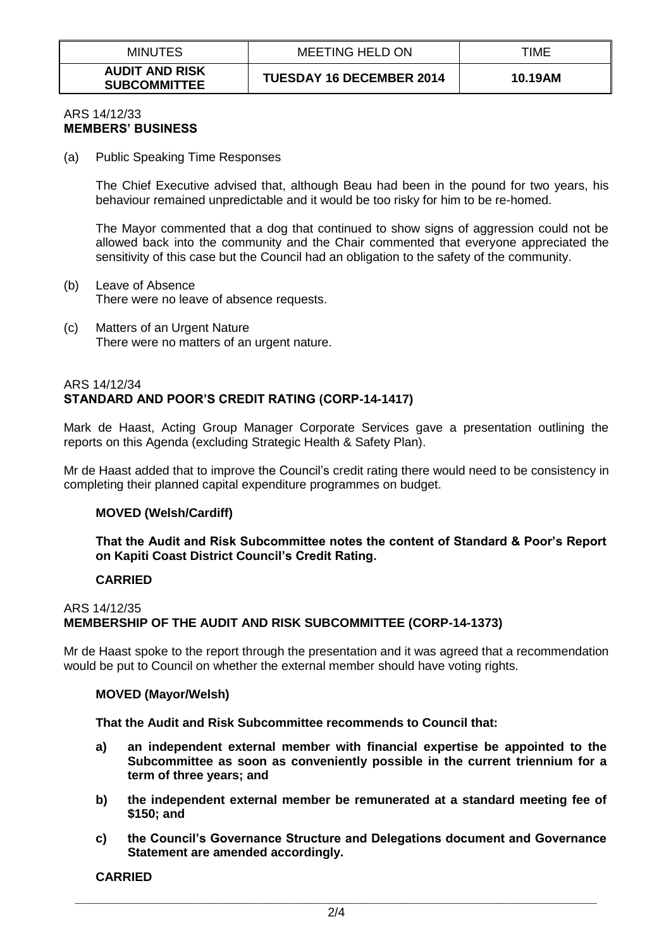| <b>MINUTES</b>                               | MEETING HELD ON                 | TIME    |
|----------------------------------------------|---------------------------------|---------|
| <b>AUDIT AND RISK</b><br><b>SUBCOMMITTEE</b> | <b>TUESDAY 16 DECEMBER 2014</b> | 10.19AM |

#### ARS 14/12/33 **MEMBERS' BUSINESS**

(a) Public Speaking Time Responses

The Chief Executive advised that, although Beau had been in the pound for two years, his behaviour remained unpredictable and it would be too risky for him to be re-homed.

The Mayor commented that a dog that continued to show signs of aggression could not be allowed back into the community and the Chair commented that everyone appreciated the sensitivity of this case but the Council had an obligation to the safety of the community.

- (b) Leave of Absence There were no leave of absence requests.
- (c) Matters of an Urgent Nature There were no matters of an urgent nature.

### ARS 14/12/34 **STANDARD AND POOR'S CREDIT RATING (CORP-14-1417)**

Mark de Haast, Acting Group Manager Corporate Services gave a presentation outlining the reports on this Agenda (excluding Strategic Health & Safety Plan).

Mr de Haast added that to improve the Council's credit rating there would need to be consistency in completing their planned capital expenditure programmes on budget.

### **MOVED (Welsh/Cardiff)**

#### **That the Audit and Risk Subcommittee notes the content of Standard & Poor's Report on Kapiti Coast District Council's Credit Rating.**

### **CARRIED**

# ARS 14/12/35 **MEMBERSHIP OF THE AUDIT AND RISK SUBCOMMITTEE (CORP-14-1373)**

Mr de Haast spoke to the report through the presentation and it was agreed that a recommendation would be put to Council on whether the external member should have voting rights.

#### **MOVED (Mayor/Welsh)**

#### **That the Audit and Risk Subcommittee recommends to Council that:**

- **a) an independent external member with financial expertise be appointed to the Subcommittee as soon as conveniently possible in the current triennium for a term of three years; and**
- **b) the independent external member be remunerated at a standard meeting fee of \$150; and**
- **c) the Council's Governance Structure and Delegations document and Governance Statement are amended accordingly.**

### **CARRIED**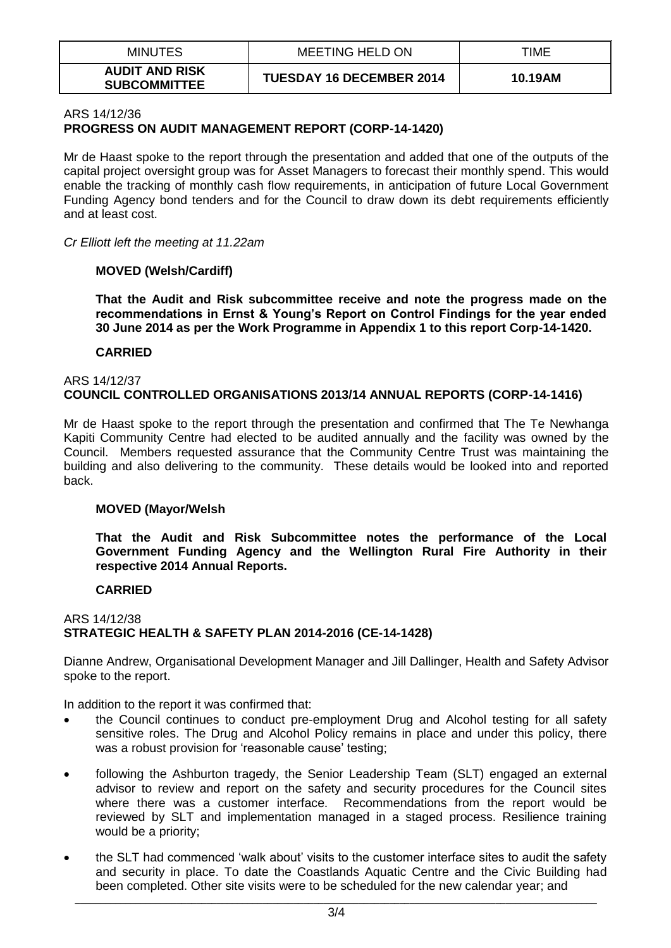| <b>MINUTES</b>                               | <b>MEETING HELD ON</b>          | TIME    |
|----------------------------------------------|---------------------------------|---------|
| <b>AUDIT AND RISK</b><br><b>SUBCOMMITTEE</b> | <b>TUESDAY 16 DECEMBER 2014</b> | 10.19AM |

### ARS 14/12/36 **PROGRESS ON AUDIT MANAGEMENT REPORT (CORP-14-1420)**

Mr de Haast spoke to the report through the presentation and added that one of the outputs of the capital project oversight group was for Asset Managers to forecast their monthly spend. This would enable the tracking of monthly cash flow requirements, in anticipation of future Local Government Funding Agency bond tenders and for the Council to draw down its debt requirements efficiently and at least cost.

*Cr Elliott left the meeting at 11.22am*

### **MOVED (Welsh/Cardiff)**

**That the Audit and Risk subcommittee receive and note the progress made on the recommendations in Ernst & Young's Report on Control Findings for the year ended 30 June 2014 as per the Work Programme in Appendix 1 to this report Corp-14-1420.**

#### **CARRIED**

#### ARS 14/12/37 **COUNCIL CONTROLLED ORGANISATIONS 2013/14 ANNUAL REPORTS (CORP-14-1416)**

Mr de Haast spoke to the report through the presentation and confirmed that The Te Newhanga Kapiti Community Centre had elected to be audited annually and the facility was owned by the Council. Members requested assurance that the Community Centre Trust was maintaining the building and also delivering to the community. These details would be looked into and reported back.

### **MOVED (Mayor/Welsh**

**That the Audit and Risk Subcommittee notes the performance of the Local Government Funding Agency and the Wellington Rural Fire Authority in their respective 2014 Annual Reports.**

#### **CARRIED**

### ARS 14/12/38 **STRATEGIC HEALTH & SAFETY PLAN 2014-2016 (CE-14-1428)**

Dianne Andrew, Organisational Development Manager and Jill Dallinger, Health and Safety Advisor spoke to the report.

In addition to the report it was confirmed that:

- the Council continues to conduct pre-employment Drug and Alcohol testing for all safety sensitive roles. The Drug and Alcohol Policy remains in place and under this policy, there was a robust provision for 'reasonable cause' testing;
- following the Ashburton tragedy, the Senior Leadership Team (SLT) engaged an external advisor to review and report on the safety and security procedures for the Council sites where there was a customer interface. Recommendations from the report would be reviewed by SLT and implementation managed in a staged process. Resilience training would be a priority;
- the SLT had commenced 'walk about' visits to the customer interface sites to audit the safety and security in place. To date the Coastlands Aquatic Centre and the Civic Building had been completed. Other site visits were to be scheduled for the new calendar year; and